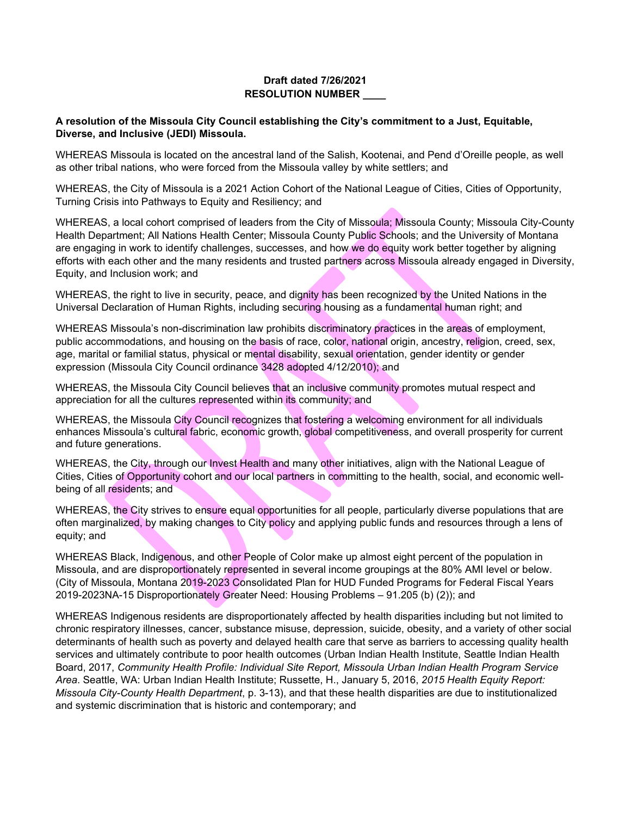## **Draft dated 7/26/2021 RESOLUTION NUMBER \_\_\_\_**

## **A resolution of the Missoula City Council establishing the City's commitment to a Just, Equitable, Diverse, and Inclusive (JEDI) Missoula.**

WHEREAS Missoula is located on the ancestral land of the Salish, Kootenai, and Pend d'Oreille people, as well as other tribal nations, who were forced from the Missoula valley by white settlers; and

WHEREAS, the City of Missoula is a 2021 Action Cohort of the National League of Cities, Cities of Opportunity, Turning Crisis into Pathways to Equity and Resiliency; and

WHEREAS, a local cohort comprised of leaders from the City of Missoula; Missoula County; Missoula City-County Health Department; All Nations Health Center; Missoula County Public Schools; and the University of Montana are engaging in work to identify challenges, successes, and how we do equity work better together by aligning efforts with each other and the many residents and trusted partners across Missoula already engaged in Diversity, Equity, and Inclusion work; and

WHEREAS, the right to live in security, peace, and dignity has been recognized by the United Nations in the Universal Declaration of Human Rights, including securing housing as a fundamental human right; and

WHEREAS Missoula's non-discrimination law prohibits discriminatory practices in the areas of employment, public accommodations, and housing on the basis of race, color, national origin, ancestry, religion, creed, sex, age, marital or familial status, physical or mental disability, sexual orientation, gender identity or gender expression (Missoula City Council ordinance 3428 adopted 4/12/2010); and

WHEREAS, the Missoula City Council believes that an inclusive community promotes mutual respect and appreciation for all the cultures represented within its community; and

WHEREAS, the Missoula City Council recognizes that fostering a welcoming environment for all individuals enhances Missoula's cultural fabric, economic growth, global competitiveness, and overall prosperity for current and future generations.

WHEREAS, the City, through our Invest Health and many other initiatives, align with the National League of Cities, Cities of Opportunity cohort and our local partners in committing to the health, social, and economic wellbeing of all residents; and

WHEREAS, the City strives to ensure equal opportunities for all people, particularly diverse populations that are often marginalized, by making changes to City policy and applying public funds and resources through a lens of equity; and

WHEREAS Black, Indigenous, and other People of Color make up almost eight percent of the population in Missoula, and are disproportionately represented in several income groupings at the 80% AMI level or below. (City of Missoula, Montana 2019-2023 Consolidated Plan for HUD Funded Programs for Federal Fiscal Years 2019-2023NA-15 Disproportionately Greater Need: Housing Problems – 91.205 (b) (2)); and

WHEREAS Indigenous residents are disproportionately affected by health disparities including but not limited to chronic respiratory illnesses, cancer, substance misuse, depression, suicide, obesity, and a variety of other social determinants of health such as poverty and delayed health care that serve as barriers to accessing quality health services and ultimately contribute to poor health outcomes (Urban Indian Health Institute, Seattle Indian Health Board, 2017, *Community Health Profile: Individual Site Report, Missoula Urban Indian Health Program Service Area*. Seattle, WA: Urban Indian Health Institute; Russette, H., January 5, 2016, *2015 Health Equity Report: Missoula City-County Health Department*, p. 3-13), and that these health disparities are due to institutionalized and systemic discrimination that is historic and contemporary; and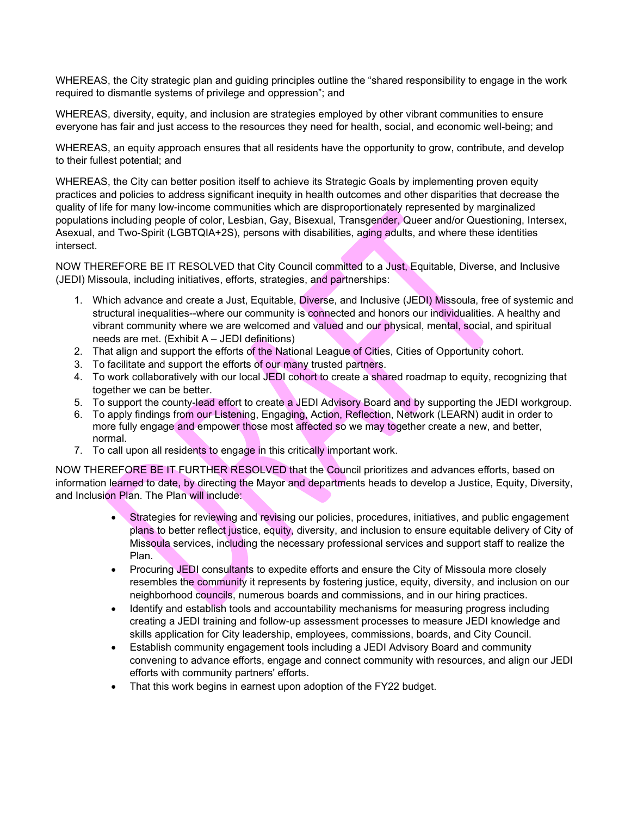WHEREAS, the City strategic plan and guiding principles outline the "shared responsibility to engage in the work required to dismantle systems of privilege and oppression"; and

WHEREAS, diversity, equity, and inclusion are strategies employed by other vibrant communities to ensure everyone has fair and just access to the resources they need for health, social, and economic well-being; and

WHEREAS, an equity approach ensures that all residents have the opportunity to grow, contribute, and develop to their fullest potential; and

WHEREAS, the City can better position itself to achieve its Strategic Goals by implementing proven equity practices and policies to address significant inequity in health outcomes and other disparities that decrease the quality of life for many low-income communities which are disproportionately represented by marginalized populations including people of color, Lesbian, Gay, Bisexual, Transgender, Queer and/or Questioning, Intersex, Asexual, and Two-Spirit (LGBTQIA+2S), persons with disabilities, aging adults, and where these identities intersect.

NOW THEREFORE BE IT RESOLVED that City Council committed to a Just, Equitable, Diverse, and Inclusive (JEDI) Missoula, including initiatives, efforts, strategies, and partnerships:

- 1. Which advance and create a Just, Equitable, Diverse, and Inclusive (JEDI) Missoula, free of systemic and structural inequalities--where our community is connected and honors our individualities. A healthy and vibrant community where we are welcomed and valued and our physical, mental, social, and spiritual needs are met. (Exhibit A – JEDI definitions)
- 2. That align and support the efforts of the National League of Cities, Cities of Opportunity cohort.
- 3. To facilitate and support the efforts of our many trusted partners.
- 4. To work collaboratively with our local JEDI cohort to create a shared roadmap to equity, recognizing that together we can be better.
- 5. To support the county-lead effort to create a JEDI Advisory Board and by supporting the JEDI workgroup.
- 6. To apply findings from our Listening, Engaging, Action, Reflection, Network (LEARN) audit in order to more fully engage and empower those most affected so we may together create a new, and better, normal.
- 7. To call upon all residents to engage in this critically important work.

NOW THEREFORE BE IT FURTHER RESOLVED that the Council prioritizes and advances efforts, based on information learned to date, by directing the Mayor and departments heads to develop a Justice, Equity, Diversity, and Inclusion Plan. The Plan will include:

- Strategies for reviewing and revising our policies, procedures, initiatives, and public engagement plans to better reflect justice, equity, diversity, and inclusion to ensure equitable delivery of City of Missoula services, including the necessary professional services and support staff to realize the Plan.
- Procuring JEDI consultants to expedite efforts and ensure the City of Missoula more closely resembles the community it represents by fostering justice, equity, diversity, and inclusion on our neighborhood councils, numerous boards and commissions, and in our hiring practices.
- Identify and establish tools and accountability mechanisms for measuring progress including creating a JEDI training and follow-up assessment processes to measure JEDI knowledge and skills application for City leadership, employees, commissions, boards, and City Council.
- Establish community engagement tools including a JEDI Advisory Board and community convening to advance efforts, engage and connect community with resources, and align our JEDI efforts with community partners' efforts.
- That this work begins in earnest upon adoption of the FY22 budget.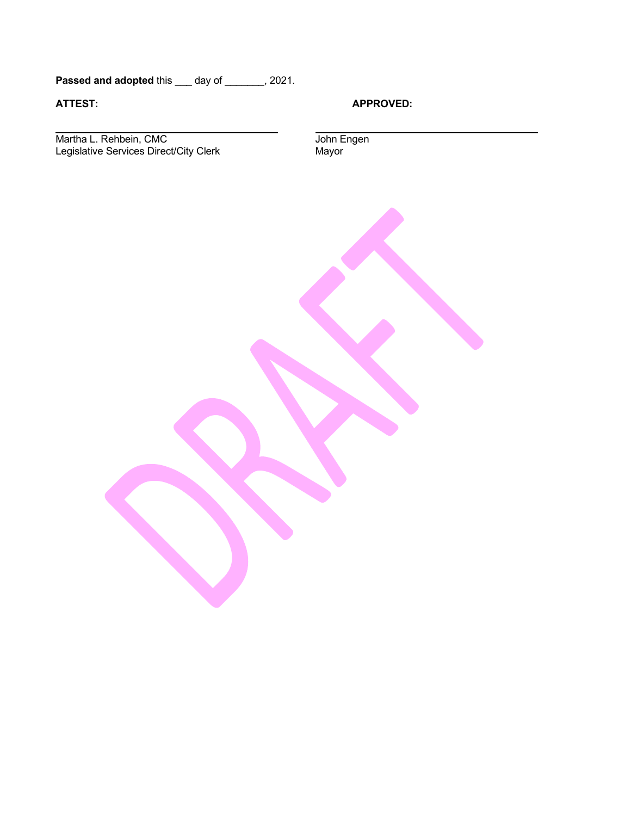Passed and adopted this \_\_\_ day of \_\_\_\_\_\_, 2021.

**ATTEST: APPROVED:**

Martha L. Rehbein, CMC John Engen Legislative Services Direct/City Clerk Mayor